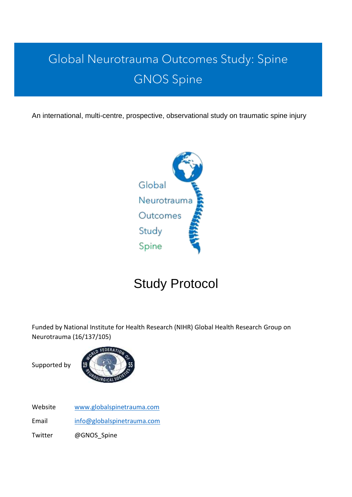# Global Neurotrauma Outcomes Study: Spine GNOS Spine

An international, multi-centre, prospective, observational study on traumatic spine injury



# Study Protocol

Funded by National Institute for Health Research (NIHR) Global Health Research Group on Neurotrauma (16/137/105)

Supported by



Website [www.globalspinetrauma.com](http://www.globalspinetrauma.com/)

Email [info@globalspinetrauma.com](mailto:info@globalspinetrauma.com)

Twitter @GNOS Spine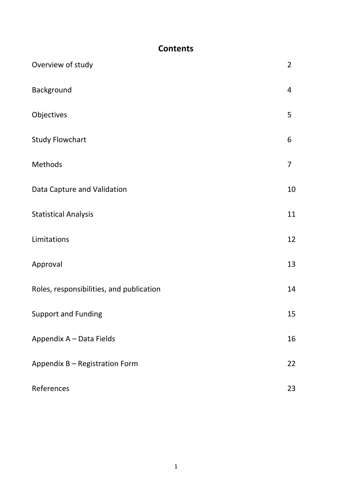# **Contents**

| Overview of study                        | $\overline{2}$ |
|------------------------------------------|----------------|
| Background                               | 4              |
| Objectives                               | 5              |
| <b>Study Flowchart</b>                   | 6              |
| Methods                                  | $\overline{7}$ |
| Data Capture and Validation              | 10             |
| <b>Statistical Analysis</b>              | 11             |
| Limitations                              | 12             |
| Approval                                 | 13             |
| Roles, responsibilities, and publication | 14             |
| <b>Support and Funding</b>               | 15             |
| Appendix A - Data Fields                 | 16             |
| Appendix B - Registration Form           | 22             |
| References                               | 23             |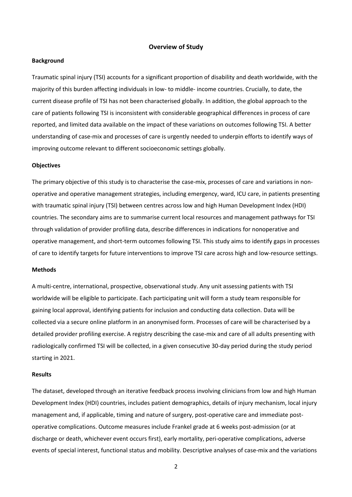#### **Overview of Study**

#### **Background**

Traumatic spinal injury (TSI) accounts for a significant proportion of disability and death worldwide, with the majority of this burden affecting individuals in low- to middle- income countries. Crucially, to date, the current disease profile of TSI has not been characterised globally. In addition, the global approach to the care of patients following TSI is inconsistent with considerable geographical differences in process of care reported, and limited data available on the impact of these variations on outcomes following TSI. A better understanding of case-mix and processes of care is urgently needed to underpin efforts to identify ways of improving outcome relevant to different socioeconomic settings globally.

#### **Objectives**

The primary objective of this study is to characterise the case-mix, processes of care and variations in nonoperative and operative management strategies, including emergency, ward, ICU care, in patients presenting with traumatic spinal injury (TSI) between centres across low and high Human Development Index (HDI) countries. The secondary aims are to summarise current local resources and management pathways for TSI through validation of provider profiling data, describe differences in indications for nonoperative and operative management, and short-term outcomes following TSI. This study aims to identify gaps in processes of care to identify targets for future interventions to improve TSI care across high and low-resource settings.

#### **Methods**

A multi-centre, international, prospective, observational study. Any unit assessing patients with TSI worldwide will be eligible to participate. Each participating unit will form a study team responsible for gaining local approval, identifying patients for inclusion and conducting data collection. Data will be collected via a secure online platform in an anonymised form. Processes of care will be characterised by a detailed provider profiling exercise. A registry describing the case-mix and care of all adults presenting with radiologically confirmed TSI will be collected, in a given consecutive 30-day period during the study period starting in 2021.

#### **Results**

The dataset, developed through an iterative feedback process involving clinicians from low and high Human Development Index (HDI) countries, includes patient demographics, details of injury mechanism, local injury management and, if applicable, timing and nature of surgery, post-operative care and immediate postoperative complications. Outcome measures include Frankel grade at 6 weeks post-admission (or at discharge or death, whichever event occurs first), early mortality, peri-operative complications, adverse events of special interest, functional status and mobility. Descriptive analyses of case-mix and the variations

2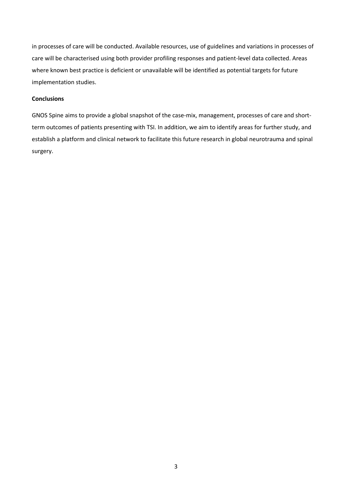in processes of care will be conducted. Available resources, use of guidelines and variations in processes of care will be characterised using both provider profiling responses and patient-level data collected. Areas where known best practice is deficient or unavailable will be identified as potential targets for future implementation studies.

#### **Conclusions**

GNOS Spine aims to provide a global snapshot of the case-mix, management, processes of care and shortterm outcomes of patients presenting with TSI. In addition, we aim to identify areas for further study, and establish a platform and clinical network to facilitate this future research in global neurotrauma and spinal surgery.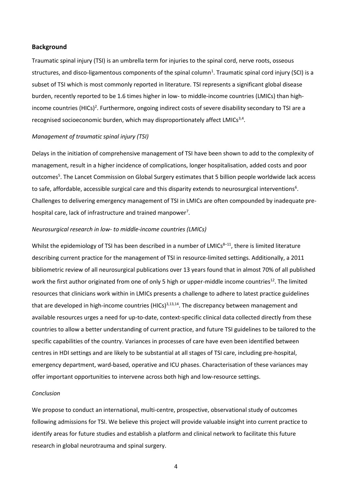#### **Background**

Traumatic spinal injury (TSI) is an umbrella term for injuries to the spinal cord, nerve roots, osseous structures, and disco-ligamentous components of the spinal column<sup>1</sup>. Traumatic spinal cord injury (SCI) is a subset of TSI which is most commonly reported in literature. TSI represents a significant global disease burden, recently reported to be 1.6 times higher in low- to middle-income countries (LMICs) than highincome countries (HICs)<sup>2</sup>. Furthermore, ongoing indirect costs of severe disability secondary to TSI are a recognised socioeconomic burden, which may disproportionately affect LMICs<sup>3,4</sup>.

#### *Management of traumatic spinal injury (TSI)*

Delays in the initiation of comprehensive management of TSI have been shown to add to the complexity of management, result in a higher incidence of complications, longer hospitalisation, added costs and poor outcomes<sup>5</sup>. The Lancet Commission on Global Surgery estimates that 5 billion people worldwide lack access to safe, affordable, accessible surgical care and this disparity extends to neurosurgical interventions<sup>6</sup>. Challenges to delivering emergency management of TSI in LMICs are often compounded by inadequate prehospital care, lack of infrastructure and trained manpower<sup>7</sup>.

### *Neurosurgical research in low- to middle-income countries (LMICs)*

Whilst the epidemiology of TSI has been described in a number of LMICs<sup>8-11</sup>, there is limited literature describing current practice for the management of TSI in resource-limited settings. Additionally, a 2011 bibliometric review of all neurosurgical publications over 13 years found that in almost 70% of all published work the first author originated from one of only 5 high or upper-middle income countries<sup>12</sup>. The limited resources that clinicians work within in LMICs presents a challenge to adhere to latest practice guidelines that are developed in high-income countries (HICs) $3,13,14$ . The discrepancy between management and available resources urges a need for up-to-date, context-specific clinical data collected directly from these countries to allow a better understanding of current practice, and future TSI guidelines to be tailored to the specific capabilities of the country. Variances in processes of care have even been identified between centres in HDI settings and are likely to be substantial at all stages of TSI care, including pre-hospital, emergency department, ward-based, operative and ICU phases. Characterisation of these variances may offer important opportunities to intervene across both high and low-resource settings.

#### *Conclusion*

We propose to conduct an international, multi-centre, prospective, observational study of outcomes following admissions for TSI. We believe this project will provide valuable insight into current practice to identify areas for future studies and establish a platform and clinical network to facilitate this future research in global neurotrauma and spinal surgery.

4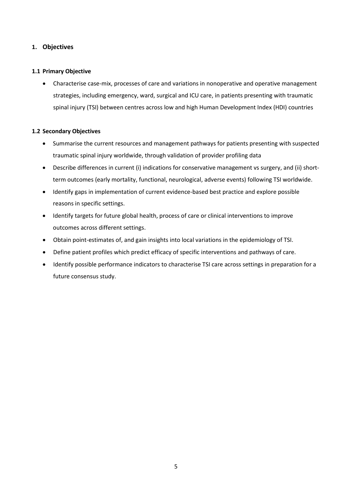# **1. Objectives**

### **1.1 Primary Objective**

• Characterise case-mix, processes of care and variations in nonoperative and operative management strategies, including emergency, ward, surgical and ICU care, in patients presenting with traumatic spinal injury (TSI) between centres across low and high Human Development Index (HDI) countries

## **1.2 Secondary Objectives**

- Summarise the current resources and management pathways for patients presenting with suspected traumatic spinal injury worldwide, through validation of provider profiling data
- Describe differences in current (i) indications for conservative management vs surgery, and (ii) shortterm outcomes (early mortality, functional, neurological, adverse events) following TSI worldwide.
- Identify gaps in implementation of current evidence-based best practice and explore possible reasons in specific settings.
- Identify targets for future global health, process of care or clinical interventions to improve outcomes across different settings.
- Obtain point-estimates of, and gain insights into local variations in the epidemiology of TSI.
- Define patient profiles which predict efficacy of specific interventions and pathways of care.
- Identify possible performance indicators to characterise TSI care across settings in preparation for a future consensus study.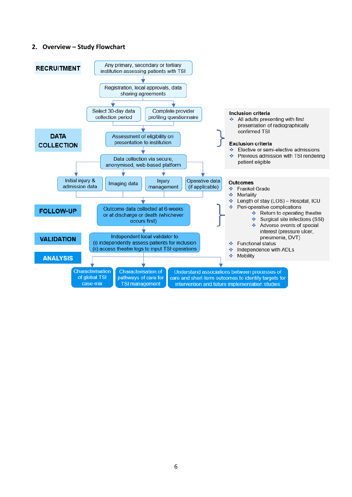## **2. Overview – Study Flowchart**

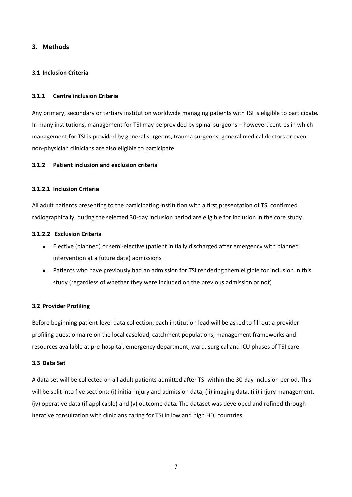## **3. Methods**

### **3.1 Inclusion Criteria**

### **3.1.1 Centre inclusion Criteria**

Any primary, secondary or tertiary institution worldwide managing patients with TSI is eligible to participate. In many institutions, management for TSI may be provided by spinal surgeons – however, centres in which management for TSI is provided by general surgeons, trauma surgeons, general medical doctors or even non-physician clinicians are also eligible to participate.

## **3.1.2 Patient inclusion and exclusion criteria**

## **3.1.2.1 Inclusion Criteria**

All adult patients presenting to the participating institution with a first presentation of TSI confirmed radiographically, during the selected 30-day inclusion period are eligible for inclusion in the core study.

#### **3.1.2.2 Exclusion Criteria**

- Elective (planned) or semi-elective (patient initially discharged after emergency with planned intervention at a future date) admissions
- Patients who have previously had an admission for TSI rendering them eligible for inclusion in this study (regardless of whether they were included on the previous admission or not)

#### **3.2 Provider Profiling**

Before beginning patient-level data collection, each institution lead will be asked to fill out a provider profiling questionnaire on the local caseload, catchment populations, management frameworks and resources available at pre-hospital, emergency department, ward, surgical and ICU phases of TSI care.

#### **3.3 Data Set**

A data set will be collected on all adult patients admitted after TSI within the 30-day inclusion period. This will be split into five sections: (i) initial injury and admission data, (ii) imaging data, (iii) injury management, (iv) operative data (if applicable) and (v) outcome data. The dataset was developed and refined through iterative consultation with clinicians caring for TSI in low and high HDI countries.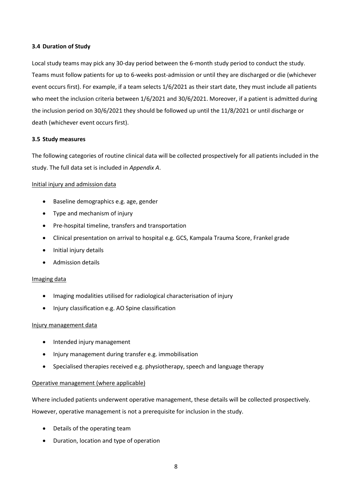#### **3.4 Duration of Study**

Local study teams may pick any 30-day period between the 6-month study period to conduct the study. Teams must follow patients for up to 6-weeks post-admission or until they are discharged or die (whichever event occurs first). For example, if a team selects 1/6/2021 as their start date, they must include all patients who meet the inclusion criteria between 1/6/2021 and 30/6/2021. Moreover, if a patient is admitted during the inclusion period on 30/6/2021 they should be followed up until the 11/8/2021 or until discharge or death (whichever event occurs first).

## **3.5 Study measures**

The following categories of routine clinical data will be collected prospectively for all patients included in the study. The full data set is included in *Appendix A*.

## Initial injury and admission data

- Baseline demographics e.g. age, gender
- Type and mechanism of injury
- Pre-hospital timeline, transfers and transportation
- Clinical presentation on arrival to hospital e.g. GCS, Kampala Trauma Score, Frankel grade
- Initial injury details
- Admission details

#### Imaging data

- Imaging modalities utilised for radiological characterisation of injury
- Injury classification e.g. AO Spine classification

# Injury management data

- Intended injury management
- Injury management during transfer e.g. immobilisation
- Specialised therapies received e.g. physiotherapy, speech and language therapy

# Operative management (where applicable)

Where included patients underwent operative management, these details will be collected prospectively. However, operative management is not a prerequisite for inclusion in the study.

- Details of the operating team
- Duration, location and type of operation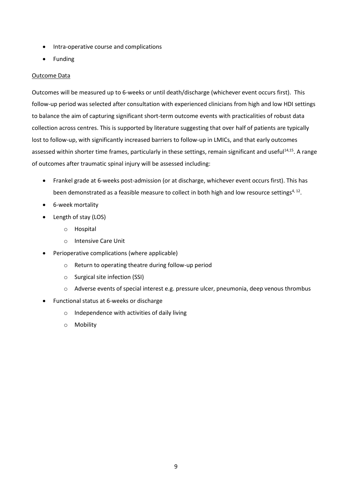- Intra-operative course and complications
- Funding

## Outcome Data

Outcomes will be measured up to 6-weeks or until death/discharge (whichever event occurs first). This follow-up period was selected after consultation with experienced clinicians from high and low HDI settings to balance the aim of capturing significant short-term outcome events with practicalities of robust data collection across centres. This is supported by literature suggesting that over half of patients are typically lost to follow-up, with significantly increased barriers to follow-up in LMICs, and that early outcomes assessed within shorter time frames, particularly in these settings, remain significant and useful<sup>14,15</sup>. A range of outcomes after traumatic spinal injury will be assessed including:

- Frankel grade at 6-weeks post-admission (or at discharge, whichever event occurs first). This has been demonstrated as a feasible measure to collect in both high and low resource settings<sup>4, 12</sup>.
- 6-week mortality
- Length of stay (LOS)
	- o Hospital
	- o Intensive Care Unit
- Perioperative complications (where applicable)
	- o Return to operating theatre during follow-up period
	- o Surgical site infection (SSI)
	- o Adverse events of special interest e.g. pressure ulcer, pneumonia, deep venous thrombus
- Functional status at 6-weeks or discharge
	- o Independence with activities of daily living
	- o Mobility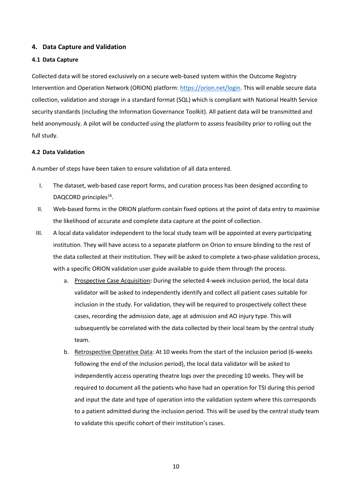# **4. Data Capture and Validation**

#### **4.1 Data Capture**

Collected data will be stored exclusively on a secure web-based system within the Outcome Registry Intervention and Operation Network (ORION) platform[: https://orion.net/login.](https://orion.net/login) This will enable secure data collection, validation and storage in a standard format (SQL) which is compliant with National Health Service security standards (including the Information Governance Toolkit). All patient data will be transmitted and held anonymously. A pilot will be conducted using the platform to assess feasibility prior to rolling out the full study.

#### **4.2 Data Validation**

A number of steps have been taken to ensure validation of all data entered.

- I. The dataset, web-based case report forms, and curation process has been designed according to DAQCORD principles<sup>16</sup>.
- II. Web-based forms in the ORION platform contain fixed options at the point of data entry to maximise the likelihood of accurate and complete data capture at the point of collection.
- III. A local data validator independent to the local study team will be appointed at every participating institution. They will have access to a separate platform on Orion to ensure blinding to the rest of the data collected at their institution. They will be asked to complete a two-phase validation process, with a specific ORION validation user guide available to guide them through the process.
	- a. Prospective Case Acquisition**:** During the selected 4-week inclusion period, the local data validator will be asked to independently identify and collect all patient cases suitable for inclusion in the study. For validation, they will be required to prospectively collect these cases, recording the admission date, age at admission and AO injury type. This will subsequently be correlated with the data collected by their local team by the central study team.
	- b. Retrospective Operative Data: At 10 weeks from the start of the inclusion period (6-weeks following the end of the inclusion period), the local data validator will be asked to independently access operating theatre logs over the preceding 10 weeks. They will be required to document all the patients who have had an operation for TSI during this period and input the date and type of operation into the validation system where this corresponds to a patient admitted during the inclusion period. This will be used by the central study team to validate this specific cohort of their institution's cases.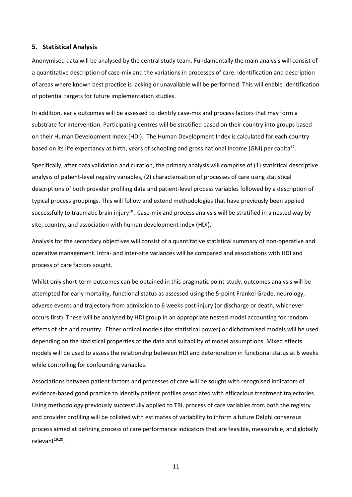#### **5. Statistical Analysis**

Anonymised data will be analysed by the central study team. Fundamentally the main analysis will consist of a quantitative description of case-mix and the variations in processes of care. Identification and description of areas where known best practice is lacking or unavailable will be performed. This will enable identification of potential targets for future implementation studies.

In addition, early outcomes will be assessed to identify case-mix and process factors that may form a substrate for intervention. Participating centres will be stratified based on their country into groups based on their Human Development Index (HDI). The Human Development Index is calculated for each country based on its life expectancy at birth, years of schooling and gross national income (GNI) per capita<sup>17</sup>.

Specifically, after data validation and curation, the primary analysis will comprise of (1) statistical descriptive analysis of patient-level registry variables, (2) characterisation of processes of care using statistical descriptions of both provider profiling data and patient-level process variables followed by a description of typical process groupings. This will follow and extend methodologies that have previously been applied successfully to traumatic brain injury<sup>18</sup>. Case-mix and process analysis will be stratified in a nested way by site, country, and association with human development index (HDI).

Analysis for the secondary objectives will consist of a quantitative statistical summary of non-operative and operative management. Intra- and inter-site variances will be compared and associations with HDI and process of care factors sought.

Whilst only short-term outcomes can be obtained in this pragmatic point-study, outcomes analysis will be attempted for early mortality, functional status as assessed using the 5-point Frankel Grade, neurology, adverse events and trajectory from admission to 6 weeks post-injury (or discharge or death, whichever occurs first). These will be analysed by HDI group in an appropriate nested model accounting for random effects of site and country. Either ordinal models (for statistical power) or dichotomised models will be used depending on the statistical properties of the data and suitability of model assumptions. Mixed effects models will be used to assess the relationship between HDI and deterioration in functional status at 6 weeks while controlling for confounding variables.

Associations between patient factors and processes of care will be sought with recognised indicators of evidence-based good practice to identify patient profiles associated with efficacious treatment trajectories. Using methodology previously successfully applied to TBI, process of care variables from both the registry and provider profiling will be collated with estimates of variability to inform a future Delphi consensus process aimed at defining process of care performance indicators that are feasible, measurable, and globally relevant<sup>19,20</sup>.

11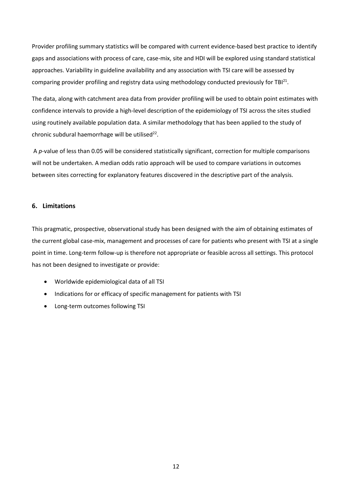Provider profiling summary statistics will be compared with current evidence-based best practice to identify gaps and associations with process of care, case-mix, site and HDI will be explored using standard statistical approaches. Variability in guideline availability and any association with TSI care will be assessed by comparing provider profiling and registry data using methodology conducted previously for TBI<sup>21</sup>.

The data, along with catchment area data from provider profiling will be used to obtain point estimates with confidence intervals to provide a high-level description of the epidemiology of TSI across the sites studied using routinely available population data. A similar methodology that has been applied to the study of chronic subdural haemorrhage will be utilised $^{22}$ .

A *p*-value of less than 0.05 will be considered statistically significant, correction for multiple comparisons will not be undertaken. A median odds ratio approach will be used to compare variations in outcomes between sites correcting for explanatory features discovered in the descriptive part of the analysis.

#### **6. Limitations**

This pragmatic, prospective, observational study has been designed with the aim of obtaining estimates of the current global case-mix, management and processes of care for patients who present with TSI at a single point in time. Long-term follow-up is therefore not appropriate or feasible across all settings. This protocol has not been designed to investigate or provide:

- Worldwide epidemiological data of all TSI
- Indications for or efficacy of specific management for patients with TSI
- Long-term outcomes following TSI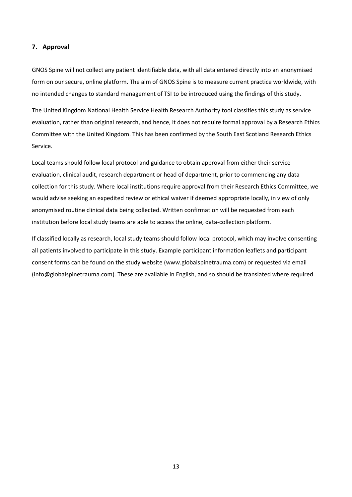## **7. Approval**

GNOS Spine will not collect any patient identifiable data, with all data entered directly into an anonymised form on our secure, online platform. The aim of GNOS Spine is to measure current practice worldwide, with no intended changes to standard management of TSI to be introduced using the findings of this study.

The United Kingdom National Health Service Health Research Authority tool classifies this study as service evaluation, rather than original research, and hence, it does not require formal approval by a Research Ethics Committee with the United Kingdom. This has been confirmed by the South East Scotland Research Ethics Service.

Local teams should follow local protocol and guidance to obtain approval from either their service evaluation, clinical audit, research department or head of department, prior to commencing any data collection for this study. Where local institutions require approval from their Research Ethics Committee, we would advise seeking an expedited review or ethical waiver if deemed appropriate locally, in view of only anonymised routine clinical data being collected. Written confirmation will be requested from each institution before local study teams are able to access the online, data-collection platform.

If classified locally as research, local study teams should follow local protocol, which may involve consenting all patients involved to participate in this study. Example participant information leaflets and participant consent forms can be found on the study website (www.globalspinetrauma.com) or requested via email (info@globalspinetrauma.com). These are available in English, and so should be translated where required.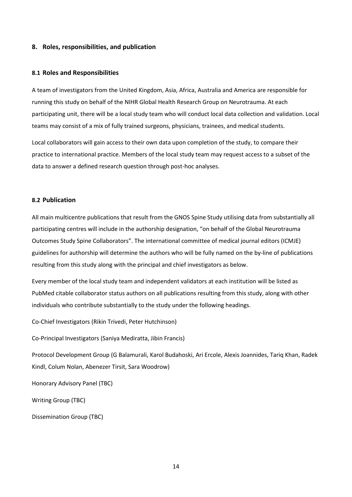#### **8. Roles, responsibilities, and publication**

#### **8.1 Roles and Responsibilities**

A team of investigators from the United Kingdom, Asia, Africa, Australia and America are responsible for running this study on behalf of the NIHR Global Health Research Group on Neurotrauma. At each participating unit, there will be a local study team who will conduct local data collection and validation. Local teams may consist of a mix of fully trained surgeons, physicians, trainees, and medical students.

Local collaborators will gain access to their own data upon completion of the study, to compare their practice to international practice. Members of the local study team may request access to a subset of the data to answer a defined research question through post-hoc analyses.

#### **8.2 Publication**

All main multicentre publications that result from the GNOS Spine Study utilising data from substantially all participating centres will include in the authorship designation, "on behalf of the Global Neurotrauma Outcomes Study Spine Collaborators". The international committee of medical journal editors (ICMJE) guidelines for authorship will determine the authors who will be fully named on the by-line of publications resulting from this study along with the principal and chief investigators as below.

Every member of the local study team and independent validators at each institution will be listed as PubMed citable collaborator status authors on all publications resulting from this study, along with other individuals who contribute substantially to the study under the following headings.

Co-Chief Investigators (Rikin Trivedi, Peter Hutchinson)

Co-Principal Investigators (Saniya Mediratta, Jibin Francis)

Protocol Development Group (G Balamurali, Karol Budahoski, Ari Ercole, Alexis Joannides, Tariq Khan, Radek Kindl, Colum Nolan, Abenezer Tirsit, Sara Woodrow)

Honorary Advisory Panel (TBC)

Writing Group (TBC)

Dissemination Group (TBC)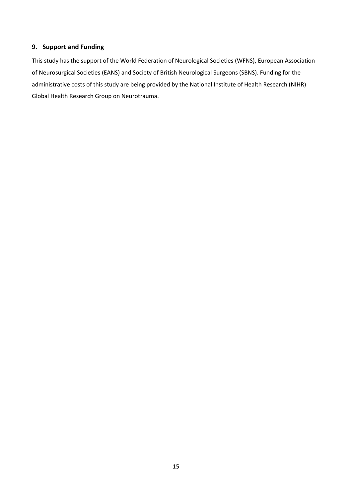# **9. Support and Funding**

This study has the support of the World Federation of Neurological Societies (WFNS), European Association of Neurosurgical Societies (EANS) and Society of British Neurological Surgeons (SBNS). Funding for the administrative costs of this study are being provided by the National Institute of Health Research (NIHR) Global Health Research Group on Neurotrauma.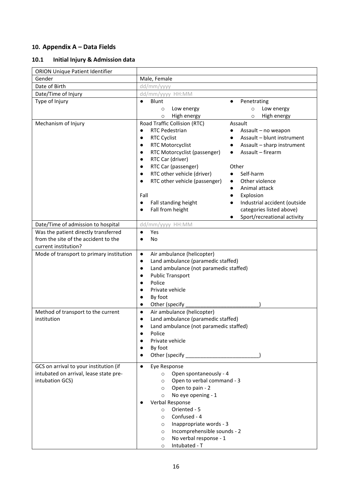# **10. Appendix A – Data Fields**

# **10.1 Initial Injury & Admission data**

| <b>ORION Unique Patient Identifier</b>                                                               |                                                                                                                                                                                                                                                                                                                                                                                                                                                                                                                                                                                                                                                                                               |
|------------------------------------------------------------------------------------------------------|-----------------------------------------------------------------------------------------------------------------------------------------------------------------------------------------------------------------------------------------------------------------------------------------------------------------------------------------------------------------------------------------------------------------------------------------------------------------------------------------------------------------------------------------------------------------------------------------------------------------------------------------------------------------------------------------------|
| Gender                                                                                               | Male, Female                                                                                                                                                                                                                                                                                                                                                                                                                                                                                                                                                                                                                                                                                  |
| Date of Birth                                                                                        | dd/mm/yyyy                                                                                                                                                                                                                                                                                                                                                                                                                                                                                                                                                                                                                                                                                    |
| Date/Time of Injury                                                                                  | dd/mm/yyyy HH:MM                                                                                                                                                                                                                                                                                                                                                                                                                                                                                                                                                                                                                                                                              |
| Type of Injury                                                                                       | Blunt<br>$\bullet$<br>Penetrating<br>$\bullet$<br>Low energy<br>Low energy<br>$\circ$<br>$\circ$<br>High energy<br>High energy<br>$\circ$<br>$\circ$                                                                                                                                                                                                                                                                                                                                                                                                                                                                                                                                          |
| Mechanism of Injury                                                                                  | Road Traffic Collision (RTC)<br>Assault<br><b>RTC Pedestrian</b><br>Assault - no weapon<br>$\bullet$<br><b>RTC Cyclist</b><br>Assault - blunt instrument<br>$\bullet$<br><b>RTC Motorcyclist</b><br>Assault - sharp instrument<br>٠<br>Assault - firearm<br>RTC Motorcyclist (passenger)<br>٠<br>RTC Car (driver)<br>RTC Car (passenger)<br>Other<br>RTC other vehicle (driver)<br>Self-harm<br>RTC other vehicle (passenger)<br>Other violence<br>$\bullet$<br>Animal attack<br>$\bullet$<br>Fall<br>Explosion<br>$\bullet$<br>Fall standing height<br>Industrial accident (outside<br>$\bullet$<br>Fall from height<br>categories listed above)<br>Sport/recreational activity<br>$\bullet$ |
| Date/Time of admission to hospital                                                                   | dd/mm/yyyy HH:MM                                                                                                                                                                                                                                                                                                                                                                                                                                                                                                                                                                                                                                                                              |
| Was the patient directly transferred<br>from the site of the accident to the<br>current institution? | <b>Yes</b><br>$\bullet$<br>No<br>$\bullet$                                                                                                                                                                                                                                                                                                                                                                                                                                                                                                                                                                                                                                                    |
| Mode of transport to primary institution                                                             | Air ambulance (helicopter)<br>$\bullet$<br>Land ambulance (paramedic staffed)<br>$\bullet$<br>Land ambulance (not paramedic staffed)<br>٠<br><b>Public Transport</b><br>Police<br>Private vehicle<br>By foot<br>Other (specify                                                                                                                                                                                                                                                                                                                                                                                                                                                                |
| Method of transport to the current<br>institution                                                    | Air ambulance (helicopter)<br>$\bullet$<br>Land ambulance (paramedic staffed)<br>٠<br>Land ambulance (not paramedic staffed)<br>Police<br>Private vehicle<br>By foot<br>٠<br>Other (specify _______________                                                                                                                                                                                                                                                                                                                                                                                                                                                                                   |
| GCS on arrival to your institution (if<br>intubated on arrival, lease state pre-<br>intubation GCS)  | $\bullet$<br>Eye Response<br>Open spontaneously - 4<br>$\circ$<br>Open to verbal command - 3<br>$\circ$<br>Open to pain - 2<br>$\circ$<br>No eye opening - 1<br>$\circ$<br>Verbal Response<br>Oriented - 5<br>$\circ$<br>Confused - 4<br>$\circ$<br>Inappropriate words - 3<br>$\circ$<br>Incomprehensible sounds - 2<br>$\circ$<br>No verbal response - 1<br>$\circ$<br>Intubated - T<br>$\circ$                                                                                                                                                                                                                                                                                             |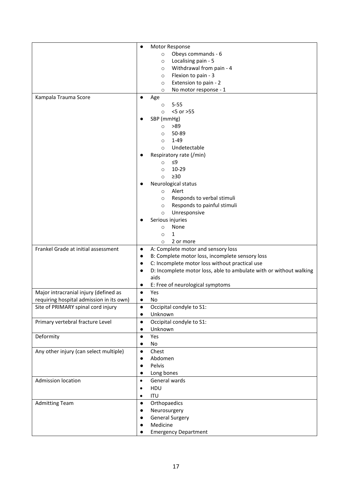|                                          | Motor Response<br>$\bullet$                                                     |
|------------------------------------------|---------------------------------------------------------------------------------|
|                                          | Obeys commands - 6<br>$\circ$                                                   |
|                                          | Localising pain - 5<br>$\circ$                                                  |
|                                          | Withdrawal from pain - 4<br>$\circ$                                             |
|                                          | Flexion to pain - 3<br>$\circ$                                                  |
|                                          | Extension to pain - 2<br>$\circ$                                                |
|                                          | No motor response - 1<br>$\circ$                                                |
| Kampala Trauma Score                     | $\bullet$                                                                       |
|                                          | Age<br>$5 - 55$                                                                 |
|                                          | $\circ$<br><5 or >55                                                            |
|                                          | $\circ$                                                                         |
|                                          | SBP (mmHg)<br>>89                                                               |
|                                          | $\circ$<br>50-89                                                                |
|                                          | $\circ$<br>$1 - 49$                                                             |
|                                          | $\circ$                                                                         |
|                                          | Undetectable<br>$\circ$                                                         |
|                                          | Respiratory rate (/min)                                                         |
|                                          | ≤9<br>$\circ$                                                                   |
|                                          | 10-29<br>$\circ$                                                                |
|                                          | $\geq 30$<br>$\circ$                                                            |
|                                          | Neurological status                                                             |
|                                          | Alert<br>$\circ$                                                                |
|                                          | Responds to verbal stimuli<br>$\circ$                                           |
|                                          | Responds to painful stimuli<br>$\circ$                                          |
|                                          | Unresponsive<br>$\circ$                                                         |
|                                          | Serious injuries                                                                |
|                                          | None<br>$\circ$                                                                 |
|                                          | $\mathbf{1}$<br>$\circ$                                                         |
|                                          | 2 or more<br>$\circ$                                                            |
| Frankel Grade at initial assessment      | A: Complete motor and sensory loss<br>$\bullet$                                 |
|                                          | B: Complete motor loss, incomplete sensory loss<br>$\bullet$                    |
|                                          | C: Incomplete motor loss without practical use<br>$\bullet$                     |
|                                          | D: Incomplete motor loss, able to ambulate with or without walking<br>$\bullet$ |
|                                          | aids                                                                            |
|                                          | E: Free of neurological symptoms<br>$\bullet$                                   |
| Major intracranial injury (defined as    | Yes<br>$\bullet$                                                                |
| requiring hospital admission in its own) | No                                                                              |
| Site of PRIMARY spinal cord injury       | Occipital condyle to S1:                                                        |
|                                          | Unknown<br>$\bullet$                                                            |
| Primary vertebral fracture Level         | Occipital condyle to S1:<br>$\bullet$                                           |
|                                          | Unknown<br>$\bullet$                                                            |
| Deformity                                | Yes<br>$\bullet$                                                                |
|                                          | No<br>$\bullet$                                                                 |
| Any other injury (can select multiple)   | Chest<br>$\bullet$                                                              |
|                                          | Abdomen<br>$\bullet$                                                            |
|                                          | Pelvis<br>$\bullet$                                                             |
|                                          | Long bones                                                                      |
| Admission location                       | General wards<br>$\bullet$                                                      |
|                                          | HDU<br>$\bullet$                                                                |
|                                          | ITU<br>$\bullet$                                                                |
| <b>Admitting Team</b>                    | Orthopaedics<br>$\bullet$                                                       |
|                                          | Neurosurgery<br>٠                                                               |
|                                          | <b>General Surgery</b><br>٠                                                     |
|                                          | Medicine                                                                        |
|                                          | <b>Emergency Department</b>                                                     |
|                                          |                                                                                 |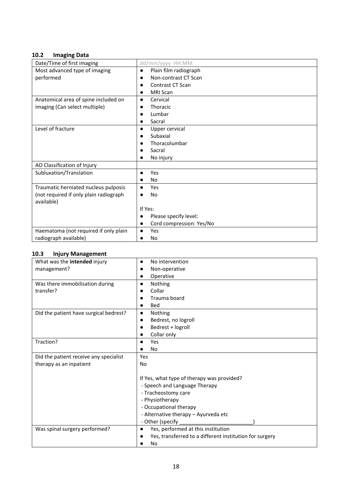# **10.2 Imaging Data**

| Date/Time of first imaging             | dd/mm/yyyy HH:MM                   |  |
|----------------------------------------|------------------------------------|--|
| Most advanced type of imaging          | Plain film radiograph<br>$\bullet$ |  |
| performed                              | Non-contrast CT Scan               |  |
|                                        | Contrast CT Scan                   |  |
|                                        | <b>MRI Scan</b>                    |  |
| Anatomical area of spine included on   | Cervical<br>$\bullet$              |  |
| imaging (Can select multiple)          | Thoracic                           |  |
|                                        | Lumbar                             |  |
|                                        | Sacral                             |  |
| Level of fracture                      | Upper cervical<br>$\bullet$        |  |
|                                        | Subaxial                           |  |
|                                        | Thoracolumbar                      |  |
|                                        | Sacral                             |  |
|                                        | No injury                          |  |
| AO Classification of Injury            |                                    |  |
| Subluxation/Translation                | Yes                                |  |
|                                        | No                                 |  |
| Traumatic herniated nucleus pulposis   | Yes<br>$\bullet$                   |  |
| (not required if only plain radiograph | No                                 |  |
| available)                             |                                    |  |
|                                        | If Yes:                            |  |
|                                        | Please specify level:              |  |
|                                        | Cord compression: Yes/No           |  |
| Haematoma (not required if only plain  | Yes                                |  |
| radiograph available)                  | No                                 |  |

# **10.3 Injury Management**

| What was the intended injury           | No intervention                                         |  |
|----------------------------------------|---------------------------------------------------------|--|
| management?                            | Non-operative                                           |  |
|                                        | Operative                                               |  |
| Was there immobilisation during        | Nothing<br>$\bullet$                                    |  |
| transfer?                              | Collar                                                  |  |
|                                        | Trauma board                                            |  |
|                                        | <b>Bed</b>                                              |  |
| Did the patient have surgical bedrest? | Nothing                                                 |  |
|                                        | Bedrest, no logroll                                     |  |
|                                        | Bedrest + logroll                                       |  |
|                                        | Collar only                                             |  |
| Traction?                              | Yes                                                     |  |
|                                        | No                                                      |  |
| Did the patient receive any specialist | Yes                                                     |  |
| therapy as an inpatient                | No                                                      |  |
|                                        |                                                         |  |
|                                        | If Yes, what type of therapy was provided?              |  |
|                                        | - Speech and Language Therapy                           |  |
|                                        | - Tracheostomy care                                     |  |
|                                        | - Physiotherapy                                         |  |
|                                        | - Occupational therapy                                  |  |
|                                        | - Alternative therapy - Ayurveda etc                    |  |
|                                        | - Other (specify                                        |  |
| Was spinal surgery performed?          | Yes, performed at this institution                      |  |
|                                        | Yes, transferred to a different institution for surgery |  |
|                                        | No                                                      |  |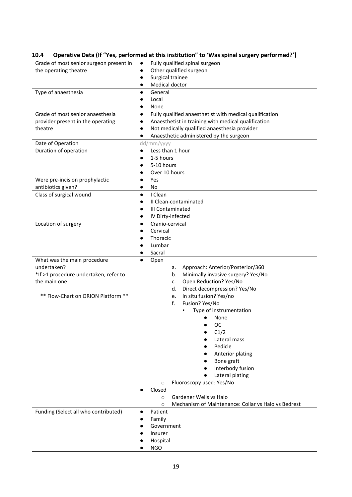| Grade of most senior surgeon present in | Fully qualified spinal surgeon<br>$\bullet$                          |  |
|-----------------------------------------|----------------------------------------------------------------------|--|
| the operating theatre                   | Other qualified surgeon<br>$\bullet$                                 |  |
|                                         | Surgical trainee<br>$\bullet$                                        |  |
|                                         | Medical doctor<br>$\bullet$                                          |  |
| Type of anaesthesia                     | General<br>$\bullet$                                                 |  |
|                                         | Local<br>$\bullet$                                                   |  |
|                                         | None<br>$\bullet$                                                    |  |
| Grade of most senior anaesthesia        | Fully qualified anaesthetist with medical qualification<br>$\bullet$ |  |
|                                         | Anaesthetist in training with medical qualification                  |  |
| provider present in the operating       | $\bullet$                                                            |  |
| theatre                                 | Not medically qualified anaesthesia provider<br>$\bullet$            |  |
|                                         | Anaesthetic administered by the surgeon                              |  |
| Date of Operation                       | dd/mm/yyyy                                                           |  |
| Duration of operation                   | Less than 1 hour<br>$\bullet$                                        |  |
|                                         | 1-5 hours                                                            |  |
|                                         | 5-10 hours                                                           |  |
|                                         | Over 10 hours<br>$\bullet$                                           |  |
| Were pre-incision prophylactic          | Yes<br>$\bullet$                                                     |  |
| antibiotics given?                      | No<br>$\bullet$                                                      |  |
| Class of surgical wound                 | I Clean<br>$\bullet$                                                 |  |
|                                         | II Clean-contaminated<br>$\bullet$                                   |  |
|                                         | III Contaminated<br>$\bullet$                                        |  |
|                                         |                                                                      |  |
|                                         | IV Dirty-infected<br>$\bullet$                                       |  |
| Location of surgery                     | Cranio-cervical<br>$\bullet$                                         |  |
|                                         | Cervical<br>$\bullet$                                                |  |
|                                         | Thoracic<br>$\bullet$                                                |  |
|                                         | Lumbar<br>$\bullet$                                                  |  |
|                                         | Sacral                                                               |  |
| What was the main procedure             | Open                                                                 |  |
| undertaken?                             | Approach: Anterior/Posterior/360<br>а.                               |  |
| *If >1 procedure undertaken, refer to   | Minimally invasive surgery? Yes/No<br>b.                             |  |
| the main one                            | Open Reduction? Yes/No<br>c.                                         |  |
|                                         | Direct decompression? Yes/No<br>d.                                   |  |
| ** Flow-Chart on ORION Platform **      | In situ fusion? Yes/no<br>e.                                         |  |
|                                         | Fusion? Yes/No<br>f.                                                 |  |
|                                         | Type of instrumentation                                              |  |
|                                         | None<br>$\bullet$                                                    |  |
|                                         | OC                                                                   |  |
|                                         |                                                                      |  |
|                                         | C1/2                                                                 |  |
|                                         | Lateral mass                                                         |  |
|                                         | Pedicle                                                              |  |
|                                         | Anterior plating                                                     |  |
|                                         | Bone graft                                                           |  |
|                                         | Interbody fusion                                                     |  |
|                                         | Lateral plating                                                      |  |
|                                         | Fluoroscopy used: Yes/No<br>$\circ$                                  |  |
|                                         | Closed                                                               |  |
|                                         | Gardener Wells vs Halo<br>$\circ$                                    |  |
|                                         | Mechanism of Maintenance: Collar vs Halo vs Bedrest<br>$\circ$       |  |
| Funding (Select all who contributed)    | Patient<br>$\bullet$                                                 |  |
|                                         | Family<br>$\bullet$                                                  |  |
|                                         | Government                                                           |  |
|                                         | Insurer                                                              |  |
|                                         |                                                                      |  |
|                                         | Hospital                                                             |  |
|                                         | <b>NGO</b>                                                           |  |

# **10.4 Operative Data (If "Yes, performed at this institution" to 'Was spinal surgery performed?')**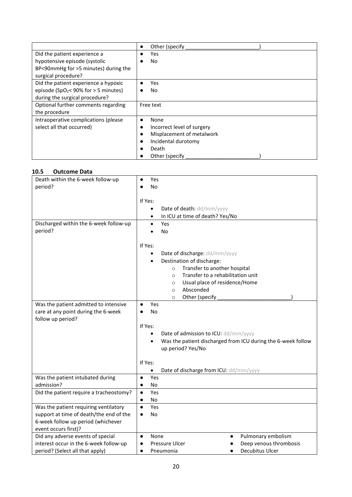|                                                    | Other (specify)<br>$\bullet$ |
|----------------------------------------------------|------------------------------|
| Did the patient experience a                       | <b>Yes</b>                   |
| hypotensive episode (systolic                      | No                           |
| BP<90mmHg for >5 minutes) during the               |                              |
| surgical procedure?                                |                              |
| Did the patient experience a hypoxic               | Yes                          |
| episode (SpO <sub>2</sub> < 90% for $>$ 5 minutes) | No                           |
| during the surgical procedure?                     |                              |
| Optional further comments regarding                | Free text                    |
| the procedure                                      |                              |
| Intraoperative complications (please               | None<br>$\bullet$            |
| select all that occurred)                          | Incorrect level of surgery   |
|                                                    | Misplacement of metalwork    |
|                                                    | Incidental durotomy          |
|                                                    | Death                        |
|                                                    | Other (specify               |

### **10.5 Outcome Data**

| Death within the 6-week follow-up       | Yes                                                          |
|-----------------------------------------|--------------------------------------------------------------|
| period?                                 | No                                                           |
|                                         |                                                              |
|                                         | If Yes:                                                      |
|                                         | Date of death: dd/mm/yyyy<br>$\bullet$                       |
|                                         | In ICU at time of death? Yes/No<br>$\bullet$                 |
| Discharged within the 6-week follow-up  | Yes<br>$\bullet$                                             |
| period?                                 | No                                                           |
|                                         |                                                              |
|                                         | If Yes:                                                      |
|                                         | Date of discharge: dd/mm/yyyy                                |
|                                         |                                                              |
|                                         | Destination of discharge:                                    |
|                                         | Transfer to another hospital<br>$\circ$                      |
|                                         | Transfer to a rehabilitation unit<br>$\Omega$                |
|                                         | Usual place of residence/Home<br>$\circ$                     |
|                                         | Absconded<br>$\circ$                                         |
|                                         | Other (specify<br>$\circ$                                    |
| Was the patient admitted to intensive   | Yes<br>$\bullet$                                             |
| care at any point during the 6-week     | No                                                           |
| follow up period?                       |                                                              |
|                                         | If Yes:                                                      |
|                                         | Date of admission to ICU: dd/mm/yyyy<br>$\bullet$            |
|                                         | Was the patient discharged from ICU during the 6-week follow |
|                                         | up period? Yes/No                                            |
|                                         |                                                              |
|                                         | If Yes:                                                      |
|                                         | Date of discharge from ICU: dd/mm/yyyy<br>$\bullet$          |
| Was the patient intubated during        | Yes<br>$\bullet$                                             |
| admission?                              | No<br>$\bullet$                                              |
| Did the patient require a tracheostomy? | Yes<br>$\bullet$                                             |
|                                         |                                                              |
|                                         | No<br>$\bullet$                                              |
| Was the patient requiring ventilatory   | Yes<br>$\bullet$                                             |
| support at time of death/the end of the | No                                                           |
| 6-week follow up period (whichever      |                                                              |
| event occurs first)?                    |                                                              |
| Did any adverse events of special       | Pulmonary embolism<br>None                                   |
| interest occur in the 6-week follow-up  | Deep venous thrombosis<br><b>Pressure Ulcer</b>              |
| period? (Select all that apply)         | Decubitus Ulcer<br>Pneumonia<br>$\bullet$                    |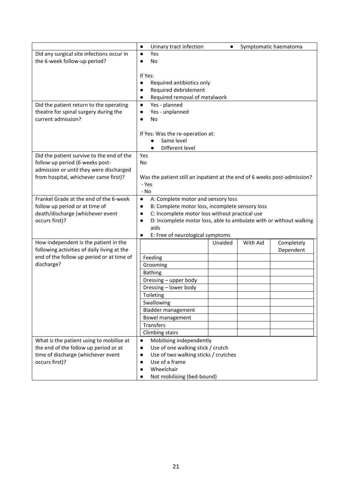| Did any surgical site infections occur in<br>Yes<br>$\bullet$<br>the 6-week follow-up period?<br><b>No</b><br>If Yes:<br>Required antibiotics only<br>$\bullet$<br>Required debridement<br>$\bullet$<br>Required removal of metalwork<br>$\bullet$<br>Yes - planned<br>Did the patient return to the operating<br>$\bullet$<br>theatre for spinal surgery during the<br>Yes - unplanned<br>$\bullet$<br>current admission?<br>No<br>$\bullet$<br>If Yes: Was the re-operation at:<br>Same level<br>Different level<br>$\bullet$<br>Did the patient survive to the end of the<br>Yes<br>follow up period (6 weeks post-<br>No.<br>admission or until they were discharged<br>from hospital, whichever came first)?<br>Was the patient still an inpatient at the end of 6 weeks post-admission?<br>- Yes<br>- No<br>Frankel Grade at the end of the 6-week<br>A: Complete motor and sensory loss<br>$\bullet$<br>follow up period or at time of<br>B: Complete motor loss, incomplete sensory loss<br>$\bullet$<br>death/discharge (whichever event<br>C: Incomplete motor loss without practical use<br>$\bullet$<br>occurs first)?<br>D: Incomplete motor loss, able to ambulate with or without walking<br>$\bullet$<br>aids<br>E: Free of neurological symptoms<br>How independent is the patient in the<br>With Aid<br>Completely<br>Unaided<br>following activities of daily living at the<br>Dependent | Urinary tract infection<br>Symptomatic haematoma<br>$\bullet$ |  |
|-------------------------------------------------------------------------------------------------------------------------------------------------------------------------------------------------------------------------------------------------------------------------------------------------------------------------------------------------------------------------------------------------------------------------------------------------------------------------------------------------------------------------------------------------------------------------------------------------------------------------------------------------------------------------------------------------------------------------------------------------------------------------------------------------------------------------------------------------------------------------------------------------------------------------------------------------------------------------------------------------------------------------------------------------------------------------------------------------------------------------------------------------------------------------------------------------------------------------------------------------------------------------------------------------------------------------------------------------------------------------------------------------------------|---------------------------------------------------------------|--|
|                                                                                                                                                                                                                                                                                                                                                                                                                                                                                                                                                                                                                                                                                                                                                                                                                                                                                                                                                                                                                                                                                                                                                                                                                                                                                                                                                                                                             |                                                               |  |
|                                                                                                                                                                                                                                                                                                                                                                                                                                                                                                                                                                                                                                                                                                                                                                                                                                                                                                                                                                                                                                                                                                                                                                                                                                                                                                                                                                                                             |                                                               |  |
|                                                                                                                                                                                                                                                                                                                                                                                                                                                                                                                                                                                                                                                                                                                                                                                                                                                                                                                                                                                                                                                                                                                                                                                                                                                                                                                                                                                                             |                                                               |  |
|                                                                                                                                                                                                                                                                                                                                                                                                                                                                                                                                                                                                                                                                                                                                                                                                                                                                                                                                                                                                                                                                                                                                                                                                                                                                                                                                                                                                             |                                                               |  |
|                                                                                                                                                                                                                                                                                                                                                                                                                                                                                                                                                                                                                                                                                                                                                                                                                                                                                                                                                                                                                                                                                                                                                                                                                                                                                                                                                                                                             |                                                               |  |
|                                                                                                                                                                                                                                                                                                                                                                                                                                                                                                                                                                                                                                                                                                                                                                                                                                                                                                                                                                                                                                                                                                                                                                                                                                                                                                                                                                                                             |                                                               |  |
|                                                                                                                                                                                                                                                                                                                                                                                                                                                                                                                                                                                                                                                                                                                                                                                                                                                                                                                                                                                                                                                                                                                                                                                                                                                                                                                                                                                                             |                                                               |  |
|                                                                                                                                                                                                                                                                                                                                                                                                                                                                                                                                                                                                                                                                                                                                                                                                                                                                                                                                                                                                                                                                                                                                                                                                                                                                                                                                                                                                             |                                                               |  |
|                                                                                                                                                                                                                                                                                                                                                                                                                                                                                                                                                                                                                                                                                                                                                                                                                                                                                                                                                                                                                                                                                                                                                                                                                                                                                                                                                                                                             |                                                               |  |
|                                                                                                                                                                                                                                                                                                                                                                                                                                                                                                                                                                                                                                                                                                                                                                                                                                                                                                                                                                                                                                                                                                                                                                                                                                                                                                                                                                                                             |                                                               |  |
|                                                                                                                                                                                                                                                                                                                                                                                                                                                                                                                                                                                                                                                                                                                                                                                                                                                                                                                                                                                                                                                                                                                                                                                                                                                                                                                                                                                                             |                                                               |  |
|                                                                                                                                                                                                                                                                                                                                                                                                                                                                                                                                                                                                                                                                                                                                                                                                                                                                                                                                                                                                                                                                                                                                                                                                                                                                                                                                                                                                             |                                                               |  |
|                                                                                                                                                                                                                                                                                                                                                                                                                                                                                                                                                                                                                                                                                                                                                                                                                                                                                                                                                                                                                                                                                                                                                                                                                                                                                                                                                                                                             |                                                               |  |
|                                                                                                                                                                                                                                                                                                                                                                                                                                                                                                                                                                                                                                                                                                                                                                                                                                                                                                                                                                                                                                                                                                                                                                                                                                                                                                                                                                                                             |                                                               |  |
|                                                                                                                                                                                                                                                                                                                                                                                                                                                                                                                                                                                                                                                                                                                                                                                                                                                                                                                                                                                                                                                                                                                                                                                                                                                                                                                                                                                                             |                                                               |  |
|                                                                                                                                                                                                                                                                                                                                                                                                                                                                                                                                                                                                                                                                                                                                                                                                                                                                                                                                                                                                                                                                                                                                                                                                                                                                                                                                                                                                             |                                                               |  |
|                                                                                                                                                                                                                                                                                                                                                                                                                                                                                                                                                                                                                                                                                                                                                                                                                                                                                                                                                                                                                                                                                                                                                                                                                                                                                                                                                                                                             |                                                               |  |
| end of the follow up period or at time of<br>Feeding                                                                                                                                                                                                                                                                                                                                                                                                                                                                                                                                                                                                                                                                                                                                                                                                                                                                                                                                                                                                                                                                                                                                                                                                                                                                                                                                                        |                                                               |  |
| discharge?<br>Grooming                                                                                                                                                                                                                                                                                                                                                                                                                                                                                                                                                                                                                                                                                                                                                                                                                                                                                                                                                                                                                                                                                                                                                                                                                                                                                                                                                                                      |                                                               |  |
| <b>Bathing</b>                                                                                                                                                                                                                                                                                                                                                                                                                                                                                                                                                                                                                                                                                                                                                                                                                                                                                                                                                                                                                                                                                                                                                                                                                                                                                                                                                                                              |                                                               |  |
| Dressing - upper body                                                                                                                                                                                                                                                                                                                                                                                                                                                                                                                                                                                                                                                                                                                                                                                                                                                                                                                                                                                                                                                                                                                                                                                                                                                                                                                                                                                       |                                                               |  |
| Dressing - lower body                                                                                                                                                                                                                                                                                                                                                                                                                                                                                                                                                                                                                                                                                                                                                                                                                                                                                                                                                                                                                                                                                                                                                                                                                                                                                                                                                                                       |                                                               |  |
| Toileting                                                                                                                                                                                                                                                                                                                                                                                                                                                                                                                                                                                                                                                                                                                                                                                                                                                                                                                                                                                                                                                                                                                                                                                                                                                                                                                                                                                                   |                                                               |  |
| Swallowing                                                                                                                                                                                                                                                                                                                                                                                                                                                                                                                                                                                                                                                                                                                                                                                                                                                                                                                                                                                                                                                                                                                                                                                                                                                                                                                                                                                                  |                                                               |  |
| <b>Bladder management</b>                                                                                                                                                                                                                                                                                                                                                                                                                                                                                                                                                                                                                                                                                                                                                                                                                                                                                                                                                                                                                                                                                                                                                                                                                                                                                                                                                                                   |                                                               |  |
| Bowel management                                                                                                                                                                                                                                                                                                                                                                                                                                                                                                                                                                                                                                                                                                                                                                                                                                                                                                                                                                                                                                                                                                                                                                                                                                                                                                                                                                                            |                                                               |  |
| Transfers                                                                                                                                                                                                                                                                                                                                                                                                                                                                                                                                                                                                                                                                                                                                                                                                                                                                                                                                                                                                                                                                                                                                                                                                                                                                                                                                                                                                   |                                                               |  |
| <b>Climbing stairs</b>                                                                                                                                                                                                                                                                                                                                                                                                                                                                                                                                                                                                                                                                                                                                                                                                                                                                                                                                                                                                                                                                                                                                                                                                                                                                                                                                                                                      |                                                               |  |
| Mobilising independently<br>What is the patient using to mobilise at<br>$\bullet$                                                                                                                                                                                                                                                                                                                                                                                                                                                                                                                                                                                                                                                                                                                                                                                                                                                                                                                                                                                                                                                                                                                                                                                                                                                                                                                           |                                                               |  |
| the end of the follow up period or at<br>$\bullet$                                                                                                                                                                                                                                                                                                                                                                                                                                                                                                                                                                                                                                                                                                                                                                                                                                                                                                                                                                                                                                                                                                                                                                                                                                                                                                                                                          | Use of one walking stick / crutch                             |  |
| time of discharge (whichever event                                                                                                                                                                                                                                                                                                                                                                                                                                                                                                                                                                                                                                                                                                                                                                                                                                                                                                                                                                                                                                                                                                                                                                                                                                                                                                                                                                          | Use of two walking sticks / crutches                          |  |
| occurs first)?<br>Use of a frame<br>٠<br>Wheelchair                                                                                                                                                                                                                                                                                                                                                                                                                                                                                                                                                                                                                                                                                                                                                                                                                                                                                                                                                                                                                                                                                                                                                                                                                                                                                                                                                         |                                                               |  |
| Not mobilising (bed-bound)                                                                                                                                                                                                                                                                                                                                                                                                                                                                                                                                                                                                                                                                                                                                                                                                                                                                                                                                                                                                                                                                                                                                                                                                                                                                                                                                                                                  |                                                               |  |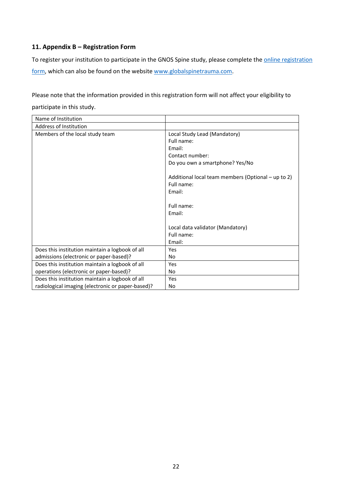# **11. Appendix B – Registration Form**

To register your institution to participate in the GNOS Spine study, please complete the **online registration** [form,](https://docs.google.com/forms/d/e/1FAIpQLSd5zgujRzEql7RJxvT9nwhiY0QjtMQNIFfANBvM59MEyAMe_w/viewform) which can also be found on the websit[e www.globalspinetrauma.com.](http://www.globalspinetrauma.com/)

Please note that the information provided in this registration form will not affect your eligibility to

participate in this study.

| Name of Institution                               |                                                    |
|---------------------------------------------------|----------------------------------------------------|
| <b>Address of Institution</b>                     |                                                    |
| Members of the local study team                   | Local Study Lead (Mandatory)                       |
|                                                   | Full name:                                         |
|                                                   | Email:                                             |
|                                                   | Contact number:                                    |
|                                                   | Do you own a smartphone? Yes/No                    |
|                                                   |                                                    |
|                                                   | Additional local team members (Optional - up to 2) |
|                                                   | Full name:                                         |
|                                                   | Email:                                             |
|                                                   |                                                    |
|                                                   | Full name:                                         |
|                                                   | Email:                                             |
|                                                   |                                                    |
|                                                   | Local data validator (Mandatory)                   |
|                                                   | Full name:                                         |
|                                                   | Email:                                             |
| Does this institution maintain a logbook of all   | Yes                                                |
| admissions (electronic or paper-based)?           | No                                                 |
| Does this institution maintain a logbook of all   | Yes                                                |
| operations (electronic or paper-based)?           | No                                                 |
| Does this institution maintain a logbook of all   | Yes                                                |
| radiological imaging (electronic or paper-based)? | No                                                 |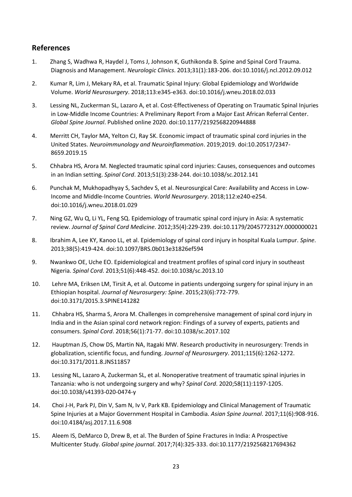# **References**

- 1. Zhang S, Wadhwa R, Haydel J, Toms J, Johnson K, Guthikonda B. Spine and Spinal Cord Trauma. Diagnosis and Management. *Neurologic Clinics*. 2013;31(1):183-206. doi:10.1016/j.ncl.2012.09.012
- 2. Kumar R, Lim J, Mekary RA, et al. Traumatic Spinal Injury: Global Epidemiology and Worldwide Volume. *World Neurosurgery*. 2018;113:e345-e363. doi:10.1016/j.wneu.2018.02.033
- 3. Lessing NL, Zuckerman SL, Lazaro A, et al. Cost-Effectiveness of Operating on Traumatic Spinal Injuries in Low-Middle Income Countries: A Preliminary Report From a Major East African Referral Center. *Global Spine Journal*. Published online 2020. doi:10.1177/2192568220944888
- 4. Merritt CH, Taylor MA, Yelton CJ, Ray SK. Economic impact of traumatic spinal cord injuries in the United States. *Neuroimmunology and Neuroinflammation*. 2019;2019. doi:10.20517/2347- 8659.2019.15
- 5. Chhabra HS, Arora M. Neglected traumatic spinal cord injuries: Causes, consequences and outcomes in an Indian setting. *Spinal Cord*. 2013;51(3):238-244. doi:10.1038/sc.2012.141
- 6. Punchak M, Mukhopadhyay S, Sachdev S, et al. Neurosurgical Care: Availability and Access in Low-Income and Middle-Income Countries. *World Neurosurgery*. 2018;112:e240-e254. doi:10.1016/j.wneu.2018.01.029
- 7. Ning GZ, Wu Q, Li YL, Feng SQ. Epidemiology of traumatic spinal cord injury in Asia: A systematic review. *Journal of Spinal Cord Medicine*. 2012;35(4):229-239. doi:10.1179/2045772312Y.0000000021
- 8. Ibrahim A, Lee KY, Kanoo LL, et al. Epidemiology of spinal cord injury in hospital Kuala Lumpur. *Spine*. 2013;38(5):419-424. doi:10.1097/BRS.0b013e31826ef594
- 9. Nwankwo OE, Uche EO. Epidemiological and treatment profiles of spinal cord injury in southeast Nigeria. *Spinal Cord*. 2013;51(6):448-452. doi:10.1038/sc.2013.10
- 10. Lehre MA, Eriksen LM, Tirsit A, et al. Outcome in patients undergoing surgery for spinal injury in an Ethiopian hospital. *Journal of Neurosurgery: Spine*. 2015;23(6):772-779. doi:10.3171/2015.3.SPINE141282
- 11. Chhabra HS, Sharma S, Arora M. Challenges in comprehensive management of spinal cord injury in India and in the Asian spinal cord network region: Findings of a survey of experts, patients and consumers. *Spinal Cord*. 2018;56(1):71-77. doi:10.1038/sc.2017.102
- 12. Hauptman JS, Chow DS, Martin NA, Itagaki MW. Research productivity in neurosurgery: Trends in globalization, scientific focus, and funding. *Journal of Neurosurgery*. 2011;115(6):1262-1272. doi:10.3171/2011.8.JNS11857
- 13. Lessing NL, Lazaro A, Zuckerman SL, et al. Nonoperative treatment of traumatic spinal injuries in Tanzania: who is not undergoing surgery and why? *Spinal Cord*. 2020;58(11):1197-1205. doi:10.1038/s41393-020-0474-y
- 14. Choi J-H, Park PJ, Din V, Sam N, Iv V, Park KB. Epidemiology and Clinical Management of Traumatic Spine Injuries at a Major Government Hospital in Cambodia. *Asian Spine Journal*. 2017;11(6):908-916. doi:10.4184/asj.2017.11.6.908
- 15. Aleem IS, DeMarco D, Drew B, et al. The Burden of Spine Fractures in India: A Prospective Multicenter Study. *Global spine journal*. 2017;7(4):325-333. doi:10.1177/2192568217694362